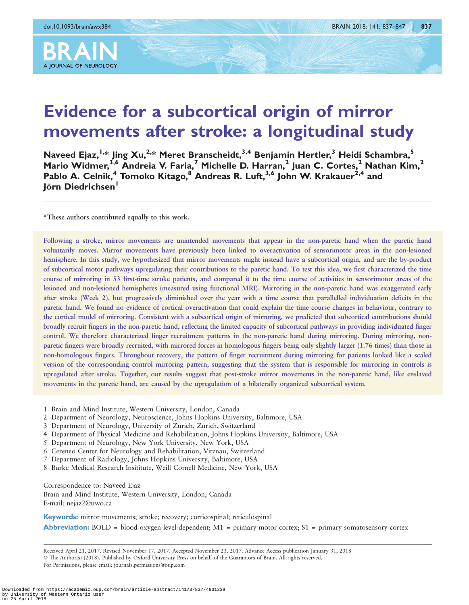

# A JOURNAL OF NEUROLOGY

## Evidence for a subcortical origin of mirror movements after stroke: a longitudinal study

Naveed Ejaz,<sup>1,\*</sup> Jing Xu,<sup>2,\*</sup> Meret Branscheidt,<sup>3,4</sup> Benjamin Hertler,<sup>3</sup> Heidi Schambra,<sup>5</sup> Mario Widmer,<sup>3,6</sup> Andreia V. Faria,<sup>7</sup> Michelle D. Harran,<sup>2</sup> Juan C. Cortes,<sup>2</sup> Nathan Kim,<sup>2</sup> Pablo A. Celnik,<sup>4</sup> Tomoko Kitago,<sup>8</sup> Andreas R. Luft,<sup>3,6</sup> John W. Krakauer<sup>2,4</sup> and Jörn Diedrichsen<sup>1</sup>

\*These authors contributed equally to this work.

Following a stroke, mirror movements are unintended movements that appear in the non-paretic hand when the paretic hand voluntarily moves. Mirror movements have previously been linked to overactivation of sensorimotor areas in the non-lesioned hemisphere. In this study, we hypothesized that mirror movements might instead have a subcortical origin, and are the by-product of subcortical motor pathways upregulating their contributions to the paretic hand. To test this idea, we first characterized the time course of mirroring in 53 first-time stroke patients, and compared it to the time course of activities in sensorimotor areas of the lesioned and non-lesioned hemispheres (measured using functional MRI). Mirroring in the non-paretic hand was exaggerated early after stroke (Week 2), but progressively diminished over the year with a time course that parallelled individuation deficits in the paretic hand. We found no evidence of cortical overactivation that could explain the time course changes in behaviour, contrary to the cortical model of mirroring. Consistent with a subcortical origin of mirroring, we predicted that subcortical contributions should broadly recruit fingers in the non-paretic hand, reflecting the limited capacity of subcortical pathways in providing individuated finger control. We therefore characterized finger recruitment patterns in the non-paretic hand during mirroring. During mirroring, nonparetic fingers were broadly recruited, with mirrored forces in homologous fingers being only slightly larger (1.76 times) than those in non-homologous fingers. Throughout recovery, the pattern of finger recruitment during mirroring for patients looked like a scaled version of the corresponding control mirroring pattern, suggesting that the system that is responsible for mirroring in controls is upregulated after stroke. Together, our results suggest that post-stroke mirror movements in the non-paretic hand, like enslaved movements in the paretic hand, are caused by the upregulation of a bilaterally organized subcortical system.

- 1 Brain and Mind Institute, Western University, London, Canada
- 2 Department of Neurology, Neuroscience, Johns Hopkins University, Baltimore, USA
- 3 Department of Neurology, University of Zurich, Zurich, Switzerland
- 4 Department of Physical Medicine and Rehabilitation, Johns Hopkins University, Baltimore, USA
- 5 Department of Neurology, New York University, New York, USA
- 6 Cereneo Center for Neurology and Rehabilitation, Vitznau, Switzerland
- 7 Department of Radiology, Johns Hopkins University, Baltimore, USA
- 8 Burke Medical Research Insititute, Weill Cornell Medicine, New York, USA

Correspondence to: Naveed Ejaz

Brain and Mind Institute, Western University, London, Canada E-mail: nejaz2@uwo.ca

Keywords: mirror movements; stroke; recovery; corticospinal; reticulospinal

**Abbreviation:** BOLD = blood oxygen level-dependent;  $M1$  = primary motor cortex;  $S1$  = primary somatosensory cortex

Received April 21, 2017. Revised November 17, 2017. Accepted November 23, 2017. Advance Access publication January 31, 2018 © The Author(s) (2018). Published by Oxford University Press on behalf of the Guarantors of Brain. All rights reserved. For Permissions, please email: journals.permissions@oup.com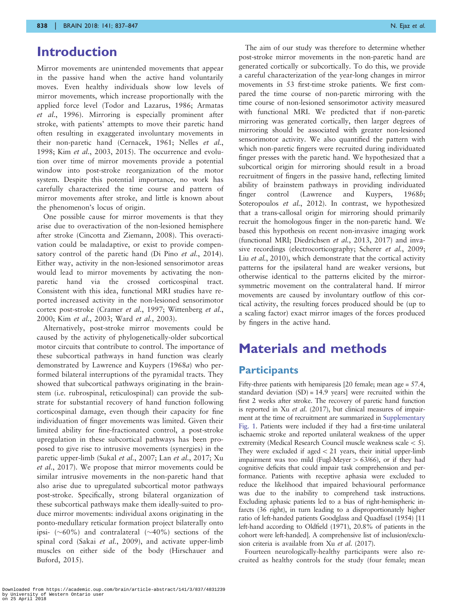## Introduction

Mirror movements are unintended movements that appear in the passive hand when the active hand voluntarily moves. Even healthy individuals show low levels of mirror movements, which increase proportionally with the applied force level [\(Todor and Lazarus, 1986](#page-10-0); [Armatas](#page-10-0) et al.[, 1996](#page-10-0)). Mirroring is especially prominent after stroke, with patients' attempts to move their paretic hand often resulting in exaggerated involuntary movements in their non-paretic hand ([Cernacek, 1961; Nelles](#page-10-0) et al., [1998](#page-10-0); Kim et al.[, 2003, 2015\)](#page-10-0). The occurrence and evolution over time of mirror movements provide a potential window into post-stroke reorganization of the motor system. Despite this potential importance, no work has carefully characterized the time course and pattern of mirror movements after stroke, and little is known about the phenomenon's locus of origin.

One possible cause for mirror movements is that they arise due to overactivation of the non-lesioned hemisphere after stroke [\(Cincotta and Ziemann, 2008](#page-10-0)). This overactivation could be maladaptive, or exist to provide compen-satory control of the paretic hand [\(Di Pino](#page-10-0) et al., 2014). Either way, activity in the non-lesioned sensorimotor areas would lead to mirror movements by activating the nonparetic hand via the crossed corticospinal tract. Consistent with this idea, functional MRI studies have reported increased activity in the non-lesioned sensorimotor cortex post-stroke ([Cramer](#page-10-0) et al., 1997; [Wittenberg](#page-10-0) et al., [2000](#page-10-0); Kim et al.[, 2003](#page-10-0); Ward et al.[, 2003\)](#page-10-0).

Alternatively, post-stroke mirror movements could be caused by the activity of phylogenetically-older subcortical motor circuits that contribute to control. The importance of these subcortical pathways in hand function was clearly demonstrated by [Lawrence and Kuypers \(1968](#page-10-0)a) who performed bilateral interruptions of the pyramidal tracts. They showed that subcortical pathways originating in the brainstem (i.e. rubrospinal, reticulospinal) can provide the substrate for substantial recovery of hand function following corticospinal damage, even though their capacity for fine individuation of finger movements was limited. Given their limited ability for fine-fractionated control, a post-stroke upregulation in these subcortical pathways has been proposed to give rise to intrusive movements (synergies) in the paretic upper-limb (Sukal et al.[, 2007](#page-10-0); Lan et al.[, 2017; Xu](#page-10-0) et al.[, 2017\)](#page-10-0). We propose that mirror movements could be similar intrusive movements in the non-paretic hand that also arise due to upregulated subcortical motor pathways post-stroke. Specifically, strong bilateral organization of these subcortical pathways make them ideally-suited to produce mirror movements: individual axons originating in the ponto-medullary reticular formation project bilaterally onto ipsi- ( $\sim$ 60%) and contralateral ( $\sim$ 40%) sections of the spinal cord (Sakai et al.[, 2009\)](#page-10-0), and activate upper-limb muscles on either side of the body ([Hirschauer and](#page-10-0) [Buford, 2015\)](#page-10-0).

The aim of our study was therefore to determine whether post-stroke mirror movements in the non-paretic hand are generated cortically or subcortically. To do this, we provide a careful characterization of the year-long changes in mirror movements in 53 first-time stroke patients. We first compared the time course of non-paretic mirroring with the time course of non-lesioned sensorimotor activity measured with functional MRI. We predicted that if non-paretic mirroring was generated cortically, then larger degrees of mirroring should be associated with greater non-lesioned sensorimotor activity. We also quantified the pattern with which non-paretic fingers were recruited during individuated finger presses with the paretic hand. We hypothesized that a subcortical origin for mirroring should result in a broad recruitment of fingers in the passive hand, reflecting limited ability of brainstem pathways in providing individuated finger control [\(Lawrence and Kuypers, 1968](#page-10-0)b; [Soteropoulos](#page-10-0) et al., 2012). In contrast, we hypothesized that a trans-callosal origin for mirroring should primarily recruit the homologous finger in the non-paretic hand. We based this hypothesis on recent non-invasive imaging work (functional MRI; [Diedrichsen](#page-10-0) et al., 2013, [2017](#page-10-0)) and inva-sive recordings (electrocorticography; [Scherer](#page-10-0) et al., 2009; Liu et al.[, 2010\)](#page-10-0), which demonstrate that the cortical activity patterns for the ipsilateral hand are weaker versions, but otherwise identical to the patterns elicited by the mirrorsymmetric movement on the contralateral hand. If mirror movements are caused by involuntary outflow of this cortical activity, the resulting forces produced should be (up to a scaling factor) exact mirror images of the forces produced by fingers in the active hand.

## Materials and methods

#### **Participants**

Fifty-three patients with hemiparesis [20 female; mean age = 57.4, standard deviation  $(SD) = 14.9$  years] were recruited within the first 2 weeks after stroke. The recovery of paretic hand function is reported in Xu et al[. \(2017\)](#page-10-0), but clinical measures of impairment at the time of recruitment are summarized in Supplementary Fig. 1. Patients were included if they had a first-time unilateral ischaemic stroke and reported unilateral weakness of the upper extremity (Medical Research Council muscle weakness scale  $<$  5). They were excluded if aged  $<$  21 years, their initial upper-limb impairment was too mild (Fugl-Meyer  $> 63/66$ ), or if they had cognitive deficits that could impair task comprehension and performance. Patients with receptive aphasia were excluded to reduce the likelihood that impaired behavioural performance was due to the inability to comprehend task instructions. Excluding aphasic patients led to a bias of right-hemispheric infarcts (36 right), in turn leading to a disproportionately higher ratio of left-handed patients [Goodglass and Quadfasel \(1954\)](#page-10-0) [11 left-hand according to [Oldfield \(1971\)](#page-10-0), 20.8% of patients in the cohort were left-handed]. A comprehensive list of inclusion/exclusion criteria is available from Xu et al[. \(2017\)](#page-10-0).

Fourteen neurologically-healthy participants were also recruited as healthy controls for the study (four female; mean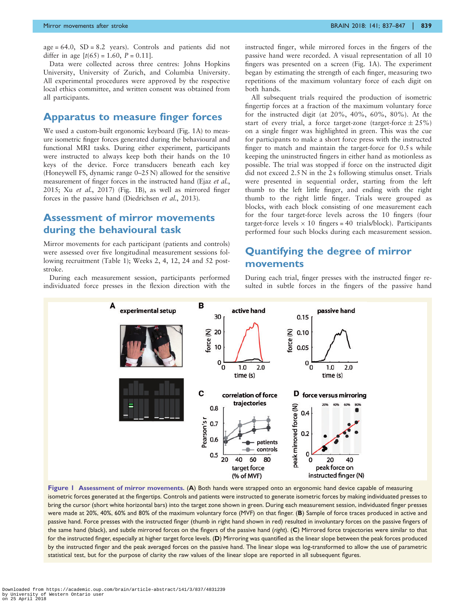<span id="page-2-0"></span> $age = 64.0$ ,  $SD = 8.2$  years). Controls and patients did not differ in age  $[t(65) = 1.60, P = 0.11]$ .

Data were collected across three centres: Johns Hopkins University, University of Zurich, and Columbia University. All experimental procedures were approved by the respective local ethics committee, and written consent was obtained from all participants.

#### Apparatus to measure finger forces

We used a custom-built ergonomic keyboard (Fig. 1A) to measure isometric finger forces generated during the behavioural and functional MRI tasks. During either experiment, participants were instructed to always keep both their hands on the 10 keys of the device. Force transducers beneath each key (Honeywell FS, dynamic range 0–25 N) allowed for the sensitive measurement of finger forces in the instructed hand (Ejaz *[et al.](#page-10-0)*, [2015](#page-10-0); Xu et al.[, 2017\)](#page-10-0) (Fig. 1B), as well as mirrored finger forces in the passive hand ([Diedrichsen](#page-10-0) et al., 2013).

#### Assessment of mirror movements during the behavioural task

Mirror movements for each participant (patients and controls) were assessed over five longitudinal measurement sessions following recruitment ([Table 1\)](#page-3-0); Weeks 2, 4, 12, 24 and 52 poststroke.

During each measurement session, participants performed individuated force presses in the flexion direction with the instructed finger, while mirrored forces in the fingers of the passive hand were recorded. A visual representation of all 10 fingers was presented on a screen (Fig. 1A). The experiment began by estimating the strength of each finger, measuring two repetitions of the maximum voluntary force of each digit on both hands.

All subsequent trials required the production of isometric fingertip forces at a fraction of the maximum voluntary force for the instructed digit (at 20%, 40%, 60%, 80%). At the start of every trial, a force target-zone (target-force  $\pm 25\%$ ) on a single finger was highlighted in green. This was the cue for participants to make a short force press with the instructed finger to match and maintain the target-force for 0.5 s while keeping the uninstructed fingers in either hand as motionless as possible. The trial was stopped if force on the instructed digit did not exceed 2.5 N in the 2 s following stimulus onset. Trials were presented in sequential order, starting from the left thumb to the left little finger, and ending with the right thumb to the right little finger. Trials were grouped as blocks, with each block consisting of one measurement each for the four target-force levels across the 10 fingers (four target-force levels  $\times$  10 fingers = 40 trials/block). Participants performed four such blocks during each measurement session.

#### Quantifying the degree of mirror movements

During each trial, finger presses with the instructed finger resulted in subtle forces in the fingers of the passive hand



Figure 1 Assessment of mirror movements. (A) Both hands were strapped onto an ergonomic hand device capable of measuring isometric forces generated at the fingertips. Controls and patients were instructed to generate isometric forces by making individuated presses to bring the cursor (short white horizontal bars) into the target zone shown in green. During each measurement session, individuated finger presses were made at 20%, 40%, 60% and 80% of the maximum voluntary force (MVF) on that finger. (B) Sample of force traces produced in active and passive hand. Force presses with the instructed finger (thumb in right hand shown in red) resulted in involuntary forces on the passive fingers of the same hand (black), and subtle mirrored forces on the fingers of the passive hand (right). (C) Mirrored force trajectories were similar to that for the instructed finger, especially at higher target force levels. (D) Mirroring was quantified as the linear slope between the peak forces produced by the instructed finger and the peak averaged forces on the passive hand. The linear slope was log-transformed to allow the use of parametric statistical test, but for the purpose of clarity the raw values of the linear slope are reported in all subsequent figures.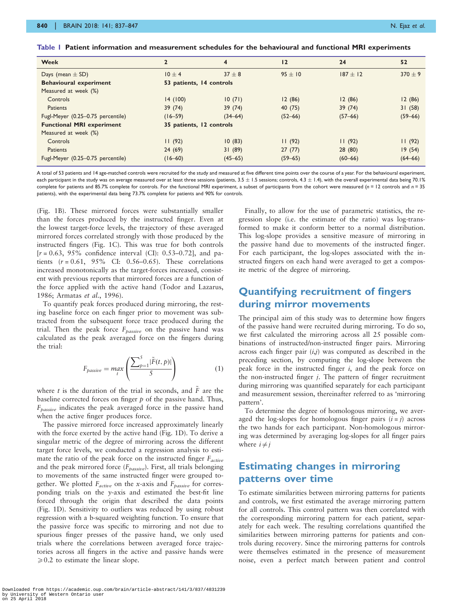| <b>Week</b>                       | $\overline{2}$           | $\overline{\mathbf{4}}$ | 12          | 24          | 52          |
|-----------------------------------|--------------------------|-------------------------|-------------|-------------|-------------|
| Days (mean $\pm$ SD)              | $10 \pm 4$               | $37 + 8$                | $95 + 10$   | $187 + 12$  | $370 + 9$   |
| <b>Behavioural experiment</b>     | 53 patients, 14 controls |                         |             |             |             |
| Measured at week (%)              |                          |                         |             |             |             |
| Controls                          | 14(100)                  | 10(71)                  | 12(86)      | 12(86)      | 12(86)      |
| Patients                          | 39(74)                   | 39(74)                  | 40 (75)     | 39(74)      | 31(58)      |
| Fugl-Meyer (0.25-0.75 percentile) | $(16 - 59)$              | $(34 - 64)$             | $(52 - 66)$ | $(57 - 66)$ | $(59 - 66)$ |
| <b>Functional MRI experiment</b>  | 35 patients, 12 controls |                         |             |             |             |
| Measured at week (%)              |                          |                         |             |             |             |
| Controls                          | 11(92)                   | 10(83)                  | 11(92)      | 11(92)      | 11(92)      |
| <b>Patients</b>                   | 24(69)                   | 31(89)                  | 27(77)      | 28(80)      | 19(54)      |
| Fugl-Meyer (0.25-0.75 percentile) | $(16 - 60)$              | $(45 - 65)$             | $(59 - 65)$ | $(60 - 66)$ | $(64 - 66)$ |

<span id="page-3-0"></span>Table 1 Patient information and measurement schedules for the behavioural and functional MRI experiments

A total of 53 patients and 14 age-matched controls were recruited for the study and measured at five different time points over the course of a year. For the behavioural experiment, each participant in the study was on average measured over at least three sessions (patients, 3.5 ± 1.5 sessions; controls, 4.3 ± 1.4), with the overall experimental data being 70.1% complete for patients and 85.7% complete for controls. For the functional MRI experiment, a subset of participants from the cohort were measured (n = 12 controls and n = 35 patients), with the experimental data being 73.7% complete for patients and 90% for controls.

[\(Fig. 1B](#page-2-0)). These mirrored forces were substantially smaller than the forces produced by the instructed finger. Even at the lowest target-force levels, the trajectory of these averaged mirrored forces correlated strongly with those produced by the instructed fingers [\(Fig. 1C](#page-2-0)). This was true for both controls  $[r = 0.63, 95\%$  confidence interval (CI): 0.53–0.72], and patients  $(r = 0.61, 95\%$  CI: 0.56–0.65). These correlations increased monotonically as the target-forces increased, consistent with previous reports that mirrored forces are a function of the force applied with the active hand ([Todor and Lazarus,](#page-10-0) [1986; Armatas](#page-10-0) et al., 1996).

To quantify peak forces produced during mirroring, the resting baseline force on each finger prior to movement was subtracted from the subsequent force trace produced during the trial. Then the peak force  $F_{passive}$  on the passive hand was calculated as the peak averaged force on the fingers during the trial:

$$
F_{passive} = \max_{t} \left( \frac{\sum_{p=1}^{5} |\tilde{F}(t, p)|}{5} \right) \tag{1}
$$

where t is the duration of the trial in seconds, and  $\overline{F}$  are the baseline corrected forces on finger  $p$  of the passive hand. Thus,  $F_{passive}$  indicates the peak averaged force in the passive hand when the active finger produces force.

The passive mirrored force increased approximately linearly with the force exerted by the active hand [\(Fig. 1](#page-2-0)D). To derive a singular metric of the degree of mirroring across the different target force levels, we conducted a regression analysis to estimate the ratio of the peak force on the instructed finger  $F_{active}$ and the peak mirrored force  $(F_{\text{passive}})$ . First, all trials belonging to movements of the same instructed finger were grouped together. We plotted  $F_{active}$  on the x-axis and  $F_{passive}$  for corresponding trials on the y-axis and estimated the best-fit line forced through the origin that described the data points [\(Fig. 1](#page-2-0)D). Sensitivity to outliers was reduced by using robust regression with a b-squared weighting function. To ensure that the passive force was specific to mirroring and not due to spurious finger presses of the passive hand, we only used trials where the correlations between averaged force trajectories across all fingers in the active and passive hands were  $\geqslant$  0.2 to estimate the linear slope.

Finally, to allow for the use of parametric statistics, the regression slope (i.e. the estimate of the ratio) was log-transformed to make it conform better to a normal distribution. This log-slope provides a sensitive measure of mirroring in the passive hand due to movements of the instructed finger. For each participant, the log-slopes associated with the instructed fingers on each hand were averaged to get a composite metric of the degree of mirroring.

#### Quantifying recruitment of fingers during mirror movements

The principal aim of this study was to determine how fingers of the passive hand were recruited during mirroring. To do so, we first calculated the mirroring across all 25 possible combinations of instructed/non-instructed finger pairs. Mirroring across each finger pair  $(i,j)$  was computed as described in the preceding section, by computing the log-slope between the peak force in the instructed finger i, and the peak force on the non-instructed finger  $i$ . The pattern of finger recruitment during mirroring was quantified separately for each participant and measurement session, thereinafter referred to as 'mirroring pattern'.

To determine the degree of homologous mirroring, we averaged the log-slopes for homologous finger pairs  $(i = j)$  across the two hands for each participant. Non-homologous mirroring was determined by averaging log-slopes for all finger pairs where  $i \neq j$ 

#### Estimating changes in mirroring patterns over time

To estimate similarities between mirroring patterns for patients and controls, we first estimated the average mirroring pattern for all controls. This control pattern was then correlated with the corresponding mirroring pattern for each patient, separately for each week. The resulting correlations quantified the similarities between mirroring patterns for patients and controls during recovery. Since the mirroring patterns for controls were themselves estimated in the presence of measurement noise, even a perfect match between patient and control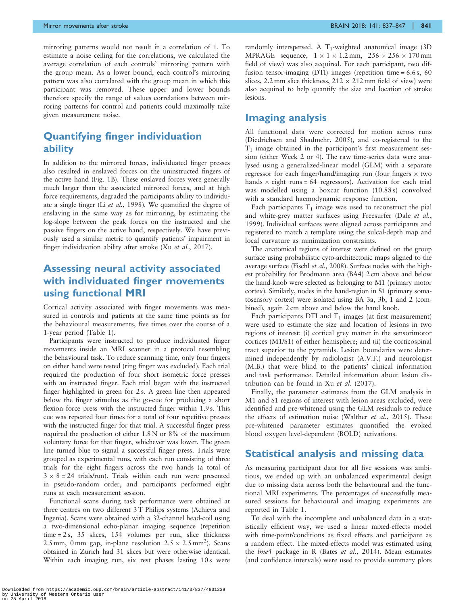mirroring patterns would not result in a correlation of 1. To estimate a noise ceiling for the correlations, we calculated the average correlation of each controls' mirroring pattern with the group mean. As a lower bound, each control's mirroring pattern was also correlated with the group mean in which this participant was removed. These upper and lower bounds therefore specify the range of values correlations between mirroring patterns for control and patients could maximally take given measurement noise.

#### Quantifying finger individuation ability

In addition to the mirrored forces, individuated finger presses also resulted in enslaved forces on the uninstructed fingers of the active hand [\(Fig. 1B](#page-2-0)). These enslaved forces were generally much larger than the associated mirrored forces, and at high force requirements, degraded the participants ability to individuate a single finger (Li et al.[, 1998](#page-10-0)). We quantified the degree of enslaving in the same way as for mirroring, by estimating the log-slope between the peak forces on the instructed and the passive fingers on the active hand, respectively. We have previously used a similar metric to quantify patients' impairment in finger individuation ability after stroke (Xu et al.[, 2017\)](#page-10-0).

#### Assessing neural activity associated with individuated finger movements using functional MRI

Cortical activity associated with finger movements was measured in controls and patients at the same time points as for the behavioural measurements, five times over the course of a 1-year period ([Table 1\)](#page-3-0).

Participants were instructed to produce individuated finger movements inside an MRI scanner in a protocol resembling the behavioural task. To reduce scanning time, only four fingers on either hand were tested (ring finger was excluded). Each trial required the production of four short isometric force presses with an instructed finger. Each trial began with the instructed finger highlighted in green for 2 s. A green line then appeared below the finger stimulus as the go-cue for producing a short flexion force press with the instructed finger within 1.9 s. This cue was repeated four times for a total of four repetitive presses with the instructed finger for that trial. A successful finger press required the production of either 1.8 N or 8% of the maximum voluntary force for that finger, whichever was lower. The green line turned blue to signal a successful finger press. Trials were grouped as experimental runs, with each run consisting of three trials for the eight fingers across the two hands (a total of  $3 \times 8 = 24$  trials/run). Trials within each run were presented in pseudo-random order, and participants performed eight runs at each measurement session.

Functional scans during task performance were obtained at three centres on two different 3 T Philips systems (Achieva and Ingenia). Scans were obtained with a 32-channel head-coil using a two-dimensional echo-planar imaging sequence (repetition time = 2 s, 35 slices, 154 volumes per run, slice thickness 2.5 mm, 0 mm gap, in-plane resolution  $2.5 \times 2.5$  mm<sup>2</sup>). Scans obtained in Zurich had 31 slices but were otherwise identical. Within each imaging run, six rest phases lasting 10s were randomly interspersed. A  $T_1$ -weighted anatomical image (3D) MPRAGE sequence,  $1 \times 1 \times 1.2$  mm,  $256 \times 256 \times 170$  mm field of view) was also acquired. For each participant, two diffusion tensor-imaging (DTI) images (repetition time = 6.6 s, 60 slices, 2.2 mm slice thickness,  $212 \times 212$  mm field of view) were also acquired to help quantify the size and location of stroke lesions.

#### Imaging analysis

All functional data were corrected for motion across runs [\(Diedrichsen and Shadmehr, 2005\)](#page-10-0), and co-registered to the  $T_1$  image obtained in the participant's first measurement session (either Week 2 or 4). The raw time-series data were analysed using a generalized-linear model (GLM) with a separate regressor for each finger/hand/imaging run (four fingers  $\times$  two hands  $\times$  eight runs = 64 regressors). Activation for each trial was modelled using a boxcar function (10.88 s) convolved with a standard haemodynamic response function.

Each participants  $T_1$  image was used to reconstruct the pial and white-grey matter surfaces using Freesurfer (Dale [et al.](#page-10-0), [1999](#page-10-0)). Individual surfaces were aligned across participants and registered to match a template using the sulcal-depth map and local curvature as minimization constraints.

The anatomical regions of interest were defined on the group surface using probabilistic cyto-architectonic maps aligned to the average surface (Fischl et al.[, 2008\)](#page-10-0). Surface nodes with the highest probability for Brodmann area (BA4) 2 cm above and below the hand-knob were selected as belonging to M1 (primary motor cortex). Similarly, nodes in the hand-region in S1 (primary somatosensory cortex) were isolated using BA 3a, 3b, 1 and 2 (combined), again 2 cm above and below the hand knob.

Each participants DTI and  $T_1$  images (at first measurement) were used to estimate the size and location of lesions in two regions of interest: (i) cortical grey matter in the sensorimotor cortices (M1/S1) of either hemisphere; and (ii) the corticospinal tract superior to the pyramids. Lesion boundaries were determined independently by radiologist (A.V.F.) and neurologist (M.B.) that were blind to the patients' clinical information and task performance. Detailed information about lesion distribution can be found in Xu et al[. \(2017\)](#page-10-0).

Finally, the parameter estimates from the GLM analysis in M1 and S1 regions of interest with lesion areas excluded, were identified and pre-whitened using the GLM residuals to reduce the effects of estimation noise [\(Walther](#page-10-0) et al., 2015). These pre-whitened parameter estimates quantified the evoked blood oxygen level-dependent (BOLD) activations.

#### Statistical analysis and missing data

As measuring participant data for all five sessions was ambitious, we ended up with an unbalanced experimental design due to missing data across both the behavioural and the functional MRI experiments. The percentages of successfully measured sessions for behavioural and imaging experiments are reported in [Table 1.](#page-3-0)

To deal with the incomplete and unbalanced data in a statistically efficient way, we used a linear mixed-effects model with time-point/conditions as fixed effects and participant as a random effect. The mixed-effects model was estimated using the *lme4* package in R (Bates et al.[, 2014](#page-10-0)). Mean estimates (and confidence intervals) were used to provide summary plots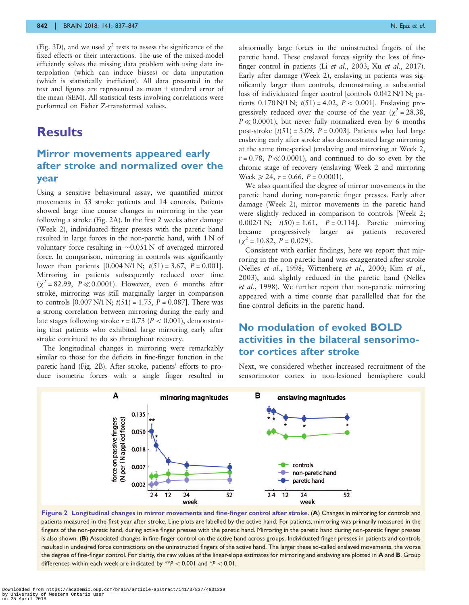<span id="page-5-0"></span>[\(Fig. 3](#page-6-0)D), and we used  $\chi^2$  tests to assess the significance of the fixed effects or their interactions. The use of the mixed-model efficiently solves the missing data problem with using data interpolation (which can induce biases) or data imputation (which is statistically inefficient). All data presented in the text and figures are represented as mean  $\pm$  standard error of the mean (SEM). All statistical tests involving correlations were performed on Fisher Z-transformed values.

### **Results**

#### Mirror movements appeared early after stroke and normalized over the year

Using a sensitive behavioural assay, we quantified mirror movements in 53 stroke patients and 14 controls. Patients showed large time course changes in mirroring in the year following a stroke (Fig. 2A). In the first 2 weeks after damage (Week 2), individuated finger presses with the paretic hand resulted in large forces in the non-paretic hand, with 1 N of voluntary force resulting in  $\sim 0.051 \text{ N}$  of averaged mirrored force. In comparison, mirroring in controls was significantly lower than patients  $[0.004 \text{ N}/1 \text{ N}; t(51) = 3.67, P = 0.001]$ . Mirroring in patients subsequently reduced over time  $(\chi^2 = 82.99, P \ll 0.0001)$ . However, even 6 months after stroke, mirroring was still marginally larger in comparison to controls  $[0.007 \text{ N}/1 \text{ N}; t(51) = 1.75, P = 0.087]$ . There was a strong correlation between mirroring during the early and late stages following stroke  $r = 0.73$  ( $P < 0.001$ ), demonstrating that patients who exhibited large mirroring early after stroke continued to do so throughout recovery.

The longitudinal changes in mirroring were remarkably similar to those for the deficits in fine-finger function in the paretic hand (Fig. 2B). After stroke, patients' efforts to produce isometric forces with a single finger resulted in abnormally large forces in the uninstructed fingers of the paretic hand. These enslaved forces signify the loss of finefinger control in patients (Li et al.[, 2003;](#page-10-0) Xu et al.[, 2017\)](#page-10-0). Early after damage (Week 2), enslaving in patients was significantly larger than controls, demonstrating a substantial loss of individuated finger control [controls 0.042 N/1 N; patients  $0.170 \text{ N}/1 \text{ N}$ ;  $t(51) = 4.02$ ,  $P < 0.001$ ]. Enslaving progressively reduced over the course of the year ( $\chi^2$  = 28.38,  $P \ll 0.0001$ , but never fully normalized even by 6 months post-stroke  $[t(51) = 3.09, P = 0.003]$ . Patients who had large enslaving early after stroke also demonstrated large mirroring at the same time-period (enslaving and mirroring at Week 2,  $r = 0.78$ ,  $P \ll 0.0001$ , and continued to do so even by the chronic stage of recovery (enslaving Week 2 and mirroring Week  $\geq 24$ ,  $r = 0.66$ ,  $P = 0.0001$ .

We also quantified the degree of mirror movements in the paretic hand during non-paretic finger presses. Early after damage (Week 2), mirror movements in the paretic hand were slightly reduced in comparison to controls [Week 2; 0.002/1 N;  $t(50) = 1.61$ ,  $P = 0.114$ ]. Paretic mirroring became progressively larger as patients recovered  $(\chi^2 = 10.82, P = 0.029).$ 

Consistent with earlier findings, here we report that mirroring in the non-paretic hand was exaggerated after stroke (Nelles et al.[, 1998; Wittenberg](#page-10-0) et al., 2000; Kim [et al.](#page-10-0), [2003\)](#page-10-0), and slightly reduced in the paretic hand [\(Nelles](#page-10-0) et al.[, 1998](#page-10-0)). We further report that non-paretic mirroring appeared with a time course that parallelled that for the fine-control deficits in the paretic hand.

#### No modulation of evoked BOLD activities in the bilateral sensorimotor cortices after stroke

Next, we considered whether increased recruitment of the sensorimotor cortex in non-lesioned hemisphere could



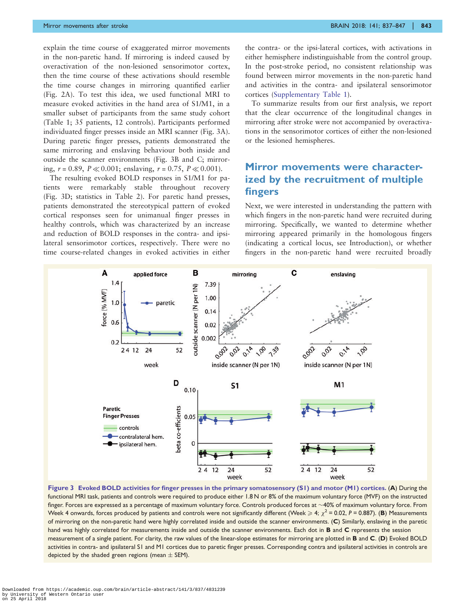<span id="page-6-0"></span>explain the time course of exaggerated mirror movements in the non-paretic hand. If mirroring is indeed caused by overactivation of the non-lesioned sensorimotor cortex, then the time course of these activations should resemble the time course changes in mirroring quantified earlier ([Fig. 2](#page-5-0)A). To test this idea, we used functional MRI to measure evoked activities in the hand area of S1/M1, in a smaller subset of participants from the same study cohort ([Table 1;](#page-3-0) 35 patients, 12 controls). Participants performed individuated finger presses inside an MRI scanner (Fig. 3A). During paretic finger presses, patients demonstrated the same mirroring and enslaving behaviour both inside and outside the scanner environments (Fig. 3B and C; mirroring,  $r = 0.89$ ,  $P \ll 0.001$ ; enslaving,  $r = 0.75$ ,  $P \ll 0.001$ ).

The resulting evoked BOLD responses in S1/M1 for patients were remarkably stable throughout recovery (Fig. 3D; statistics in [Table 2](#page-7-0)). For paretic hand presses, patients demonstrated the stereotypical pattern of evoked cortical responses seen for unimanual finger presses in healthy controls, which was characterized by an increase and reduction of BOLD responses in the contra- and ipsilateral sensorimotor cortices, respectively. There were no time course-related changes in evoked activities in either the contra- or the ipsi-lateral cortices, with activations in either hemisphere indistinguishable from the control group. In the post-stroke period, no consistent relationship was found between mirror movements in the non-paretic hand and activities in the contra- and ipsilateral sensorimotor cortices (Supplementary Table 1).

To summarize results from our first analysis, we report that the clear occurrence of the longitudinal changes in mirroring after stroke were not accompanied by overactivations in the sensorimotor cortices of either the non-lesioned or the lesioned hemispheres.

#### Mirror movements were characterized by the recruitment of multiple fingers

Next, we were interested in understanding the pattern with which fingers in the non-paretic hand were recruited during mirroring. Specifically, we wanted to determine whether mirroring appeared primarily in the homologous fingers (indicating a cortical locus, see Introduction), or whether fingers in the non-paretic hand were recruited broadly



Figure 3 Evoked BOLD activities for finger presses in the primary somatosensory (S1) and motor (M1) cortices. (A) During the functional MRI task, patients and controls were required to produce either 1.8 N or 8% of the maximum voluntary force (MVF) on the instructed finger. Forces are expressed as a percentage of maximum voluntary force. Controls produced forces at  ${\sim}$ 40% of maximum voluntary force. From Week 4 onwards, forces produced by patients and controls were not significantly different (Week  $\geqslant 4;~\chi^2$  = 0.02, P = 0.887). (B) Measurements of mirroring on the non-paretic hand were highly correlated inside and outside the scanner environments. (C) Similarly, enslaving in the paretic hand was highly correlated for measurements inside and outside the scanner environments. Each dot in **B** and C represents the session measurement of a single patient. For clarity, the raw values of the linear-slope estimates for mirroring are plotted in B and C. (D) Evoked BOLD activities in contra- and ipsilateral S1 and M1 cortices due to paretic finger presses. Corresponding contra and ipsilateral activities in controls are depicted by the shaded green regions (mean  $\pm$  SEM).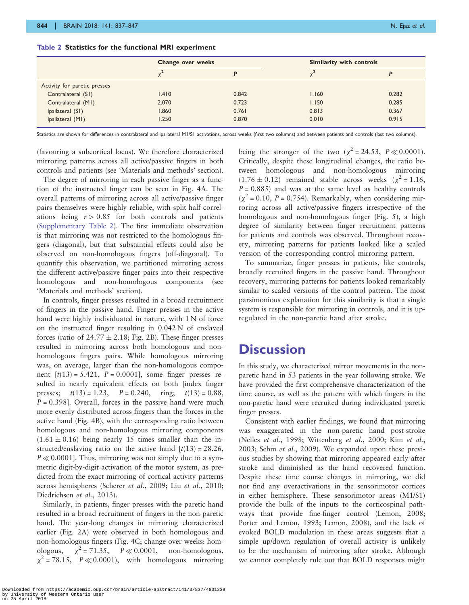|                              | Change over weeks |       | Similarity with controls |       |
|------------------------------|-------------------|-------|--------------------------|-------|
|                              |                   |       |                          | D     |
| Activity for paretic presses |                   |       |                          |       |
| Contralateral (S1)           | 1.410             | 0.842 | 1.160                    | 0.282 |
| Contralateral (M1)           | 2.070             | 0.723 | 1.150                    | 0.285 |
| Ipsilateral (S1)             | 1.860             | 0.761 | 0.813                    | 0.367 |
| Ipsilateral (M1)             | 1.250             | 0.870 | 0.010                    | 0.915 |

<span id="page-7-0"></span>Table 2 Statistics for the functional MRI experiment

Statistics are shown for differences in contralateral and ipsilateral M1/S1 activations, across weeks (first two columns) and between patients and controls (last two columns).

(favouring a subcortical locus). We therefore characterized mirroring patterns across all active/passive fingers in both controls and patients (see 'Materials and methods' section).

The degree of mirroring in each passive finger as a function of the instructed finger can be seen in [Fig. 4A](#page-8-0). The overall patterns of mirroring across all active/passive finger pairs themselves were highly reliable, with split-half correlations being  $r > 0.85$  for both controls and patients (Supplementary Table 2). The first immediate observation is that mirroring was not restricted to the homologous fingers (diagonal), but that substantial effects could also be observed on non-homologous fingers (off-diagonal). To quantify this observation, we partitioned mirroring across the different active/passive finger pairs into their respective homologous and non-homologous components 'Materials and methods' section).

In controls, finger presses resulted in a broad recruitment of fingers in the passive hand. Finger presses in the active hand were highly individuated in nature, with 1 N of force on the instructed finger resulting in 0.042 N of enslaved forces (ratio of  $24.77 \pm 2.18$ ; [Fig. 2](#page-5-0)B). These finger presses resulted in mirroring across both homologous and nonhomologous fingers pairs. While homologous mirroring was, on average, larger than the non-homologous component  $[t(13) = 5.421, P = 0.0001]$ , some finger presses resulted in nearly equivalent effects on both [index finger presses;  $t(13) = 1.23$ ,  $P = 0.240$ , ring;  $t(13) = 0.88$ ,  $P = 0.398$ . Overall, forces in the passive hand were much more evenly distributed across fingers than the forces in the active hand [\(Fig. 4B](#page-8-0)), with the corresponding ratio between homologous and non-homologous mirroring components  $(1.61 \pm 0.16)$  being nearly 15 times smaller than the instructed/enslaving ratio on the active hand  $[t(13) = 28.26,$  $P \ll 0.0001$ . Thus, mirroring was not simply due to a symmetric digit-by-digit activation of the motor system, as predicted from the exact mirroring of cortical activity patterns across hemispheres ([Scherer](#page-10-0) et al., 2009; Liu et al.[, 2010;](#page-10-0) [Diedrichsen](#page-10-0) et al., 2013).

Similarly, in patients, finger presses with the paretic hand resulted in a broad recruitment of fingers in the non-paretic hand. The year-long changes in mirroring characterized earlier [\(Fig. 2A](#page-5-0)) were observed in both homologous and non-homologous fingers ([Fig. 4](#page-8-0)C; change over weeks: homologous,  $\chi^2$  = 71.35,  $P \ll 0.0001$ , non-homologous,  $\chi^2$  = 78.15,  $P \ll 0.0001$ , with homologous mirroring

being the stronger of the two ( $\chi^2$  = 24.53, P  $\ll$  0.0001). Critically, despite these longitudinal changes, the ratio between homologous and non-homologous mirroring  $(1.76 \pm 0.12)$  remained stable across weeks  $(\chi^2 = 1.16,$  $P = 0.885$ ) and was at the same level as healthy controls  $(\chi^2 = 0.10, P = 0.754)$ . Remarkably, when considering mirroring across all active/passive fingers irrespective of the homologous and non-homologous finger [\(Fig. 5\)](#page-8-0), a high degree of similarity between finger recruitment patterns for patients and controls was observed. Throughout recovery, mirroring patterns for patients looked like a scaled version of the corresponding control mirroring pattern.

To summarize, finger presses in patients, like controls, broadly recruited fingers in the passive hand. Throughout recovery, mirroring patterns for patients looked remarkably similar to scaled versions of the control pattern. The most parsimonious explanation for this similarity is that a single system is responsible for mirroring in controls, and it is upregulated in the non-paretic hand after stroke.

## **Discussion**

In this study, we characterized mirror movements in the nonparetic hand in 53 patients in the year following stroke. We have provided the first comprehensive characterization of the time course, as well as the pattern with which fingers in the non-paretic hand were recruited during individuated paretic finger presses.

Consistent with earlier findings, we found that mirroring was exaggerated in the non-paretic hand post-stroke (Nelles et al.[, 1998; Wittenberg](#page-10-0) et al., 2000; Kim [et al.](#page-10-0), [2003;](#page-10-0) Sehm et al.[, 2009\)](#page-10-0). We expanded upon these previous studies by showing that mirroring appeared early after stroke and diminished as the hand recovered function. Despite these time course changes in mirroring, we did not find any overactivations in the sensorimotor cortices in either hemisphere. These sensorimotor areas (M1/S1) provide the bulk of the inputs to the corticospinal pathways that provide fine-finger control ([Lemon, 2008](#page-10-0); [Porter and Lemon, 1993](#page-10-0); [Lemon, 2008](#page-10-0)), and the lack of evoked BOLD modulation in these areas suggests that a simple up/down regulation of overall activity is unlikely to be the mechanism of mirroring after stroke. Although we cannot completely rule out that BOLD responses might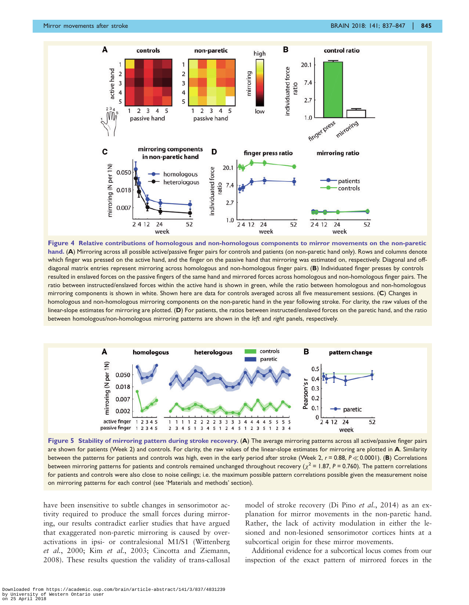<span id="page-8-0"></span>





Figure 5 Stability of mirroring pattern during stroke recovery. (A) The average mirroring patterns across all active/passive finger pairs are shown for patients (Week 2) and controls. For clarity, the raw values of the linear-slope estimates for mirroring are plotted in A. Similarity between the patterns for patients and controls was high, even in the early period after stroke (Week 2,  $r = 0.88$ ,  $P \ll 0.0001$ ). (B) Correlations between mirroring patterns for patients and controls remained unchanged throughout recovery ( $\chi^2$  = 1.87, P = 0.760). The pattern correlations for patients and controls were also close to noise ceilings; i.e. the maximum possible pattern correlations possible given the measurement noise on mirroring patterns for each control (see 'Materials and methods' section).

have been insensitive to subtle changes in sensorimotor activity required to produce the small forces during mirroring, our results contradict earlier studies that have argued that exaggerated non-paretic mirroring is caused by overactivations in ipsi- or contralesional M1/S1 [\(Wittenberg](#page-10-0) et al.[, 2000;](#page-10-0) Kim et al.[, 2003; Cincotta and Ziemann,](#page-10-0) [2008\)](#page-10-0). These results question the validity of trans-callosal model of stroke recovery ([Di Pino](#page-10-0) et al., 2014) as an explanation for mirror movements in the non-paretic hand. Rather, the lack of activity modulation in either the lesioned and non-lesioned sensorimotor cortices hints at a subcortical origin for these mirror movements.

Additional evidence for a subcortical locus comes from our inspection of the exact pattern of mirrored forces in the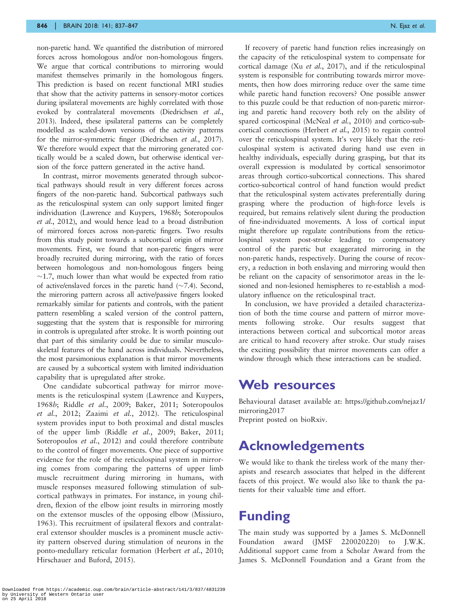non-paretic hand. We quantified the distribution of mirrored forces across homologous and/or non-homologous fingers. We argue that cortical contributions to mirroring would manifest themselves primarily in the homologous fingers. This prediction is based on recent functional MRI studies that show that the activity patterns in sensory-motor cortices during ipsilateral movements are highly correlated with those evoked by contralateral movements [\(Diedrichsen](#page-10-0) et al., [2013](#page-10-0)). Indeed, these ipsilateral patterns can be completely modelled as scaled-down versions of the activity patterns for the mirror-symmetric finger [\(Diedrichsen](#page-10-0) *et al.*, 2017). We therefore would expect that the mirroring generated cortically would be a scaled down, but otherwise identical version of the force pattern generated in the active hand.

In contrast, mirror movements generated through subcortical pathways should result in very different forces across fingers of the non-paretic hand. Subcortical pathways such as the reticulospinal system can only support limited finger individuation ([Lawrence and Kuypers, 1968](#page-10-0)b; [Soteropoulos](#page-10-0) et al.[, 2012](#page-10-0)), and would hence lead to a broad distribution of mirrored forces across non-paretic fingers. Two results from this study point towards a subcortical origin of mirror movements. First, we found that non-paretic fingers were broadly recruited during mirroring, with the ratio of forces between homologous and non-homologous fingers being  $\sim$ 1.7, much lower than what would be expected from ratio of active/enslaved forces in the paretic hand  $(\sim 7.4)$ . Second, the mirroring pattern across all active/passive fingers looked remarkably similar for patients and controls, with the patient pattern resembling a scaled version of the control pattern, suggesting that the system that is responsible for mirroring in controls is upregulated after stroke. It is worth pointing out that part of this similarity could be due to similar musculoskeletal features of the hand across individuals. Nevertheless, the most parsimonious explanation is that mirror movements are caused by a subcortical system with limited individuation capability that is upregulated after stroke.

One candidate subcortical pathway for mirror movements is the reticulospinal system [\(Lawrence and Kuypers,](#page-10-0) [1968](#page-10-0)b; Riddle et al.[, 2009](#page-10-0); [Baker, 2011](#page-10-0); [Soteropoulos](#page-10-0) et al.[, 2012;](#page-10-0) Zaaimi et al.[, 2012\)](#page-10-0). The reticulospinal system provides input to both proximal and distal muscles of the upper limb (Riddle et al.[, 2009; Baker, 2011;](#page-10-0) [Soteropoulos](#page-10-0) *et al.*, 2012) and could therefore contribute to the control of finger movements. One piece of supportive evidence for the role of the reticulospinal system in mirroring comes from comparing the patterns of upper limb muscle recruitment during mirroring in humans, with muscle responses measured following stimulation of subcortical pathways in primates. For instance, in young children, flexion of the elbow joint results in mirroring mostly on the extensor muscles of the opposing elbow ([Missiuro,](#page-10-0) [1963](#page-10-0)). This recruitment of ipsilateral flexors and contralateral extensor shoulder muscles is a prominent muscle activity pattern observed during stimulation of neurons in the ponto-medullary reticular formation [\(Herbert](#page-10-0) et al., 2010; [Hirschauer and Buford, 2015](#page-10-0)).

If recovery of paretic hand function relies increasingly on the capacity of the reticulospinal system to compensate for cortical damage (Xu et al.[, 2017\)](#page-10-0), and if the reticulospinal system is responsible for contributing towards mirror movements, then how does mirroring reduce over the same time while paretic hand function recovers? One possible answer to this puzzle could be that reduction of non-paretic mirroring and paretic hand recovery both rely on the ability of spared corticospinal ([McNeal](#page-10-0) et al., 2010) and cortico-subcortical connections ([Herbert](#page-10-0) et al., 2015) to regain control over the reticulospinal system. It's very likely that the reticulospinal system is activated during hand use even in healthy individuals, especially during grasping, but that its overall expression is modulated by cortical sensorimotor areas through cortico-subcortical connections. This shared cortico-subcortical control of hand function would predict that the reticulospinal system activates preferentially during grasping where the production of high-force levels is required, but remains relatively silent during the production of fine-individuated movements. A loss of cortical input might therefore up regulate contributions from the reticulospinal system post-stroke leading to compensatory control of the paretic but exaggerated mirroring in the non-paretic hands, respectively. During the course of recovery, a reduction in both enslaving and mirroring would then be reliant on the capacity of sensorimotor areas in the lesioned and non-lesioned hemispheres to re-establish a modulatory influence on the reticulospinal tract.

In conclusion, we have provided a detailed characterization of both the time course and pattern of mirror movements following stroke. Our results suggest that interactions between cortical and subcortical motor areas are critical to hand recovery after stroke. Our study raises the exciting possibility that mirror movements can offer a window through which these interactions can be studied.

#### Web resources

Behavioural dataset available at: https://github.com/nejaz1/ mirroring2017 Preprint posted on bioRxiv.

## Acknowledgements

We would like to thank the tireless work of the many therapists and research associates that helped in the different facets of this project. We would also like to thank the patients for their valuable time and effort.

## Funding

The main study was supported by a James S. McDonnell Foundation award (JMSF 220020220) to J.W.K. Additional support came from a Scholar Award from the James S. McDonnell Foundation and a Grant from the